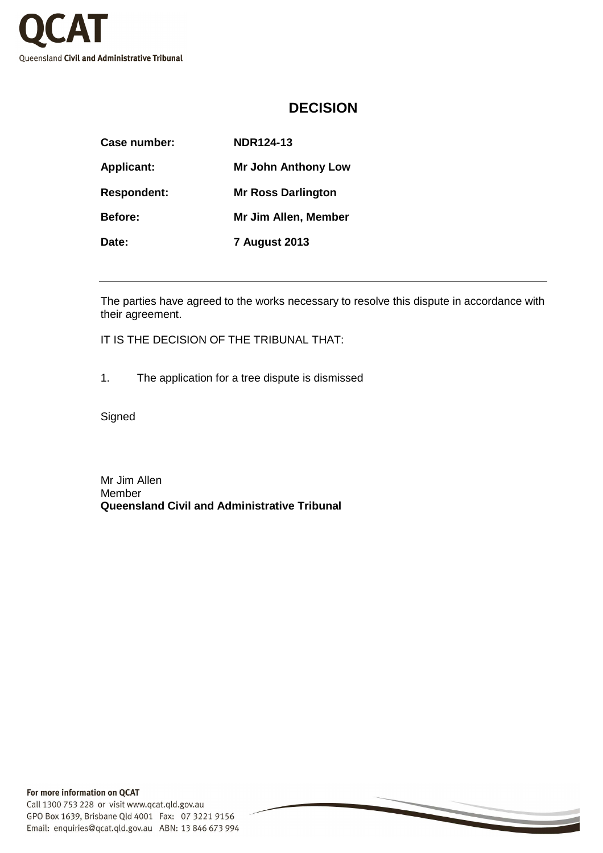

## **DECISION**

| Case number:       | <b>NDR124-13</b>           |
|--------------------|----------------------------|
| <b>Applicant:</b>  | <b>Mr John Anthony Low</b> |
| <b>Respondent:</b> | <b>Mr Ross Darlington</b>  |
| <b>Before:</b>     | Mr Jim Allen, Member       |
| Date:              | <b>7 August 2013</b>       |

The parties have agreed to the works necessary to resolve this dispute in accordance with their agreement.

IT IS THE DECISION OF THE TRIBUNAL THAT:

1. The application for a tree dispute is dismissed

Signed

Mr Jim Allen Member **Queensland Civil and Administrative Tribunal**